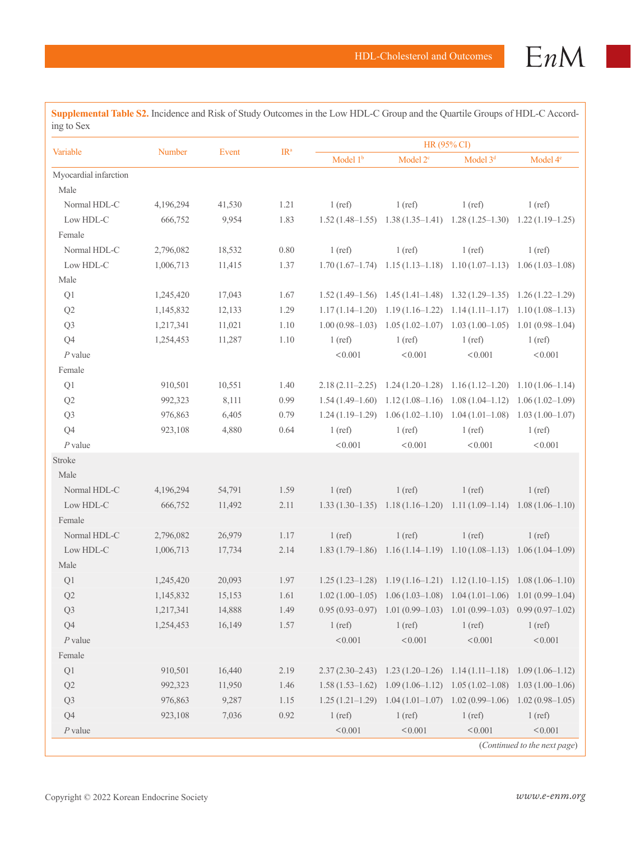| Variable              | Number    | Event  | IR <sup>a</sup> | HR (95% CI) |                                                                         |                      |                      |
|-----------------------|-----------|--------|-----------------|-------------|-------------------------------------------------------------------------|----------------------|----------------------|
|                       |           |        |                 | Model $1b$  | Model 2 <sup>c</sup>                                                    | Model 3 <sup>d</sup> | Model 4 <sup>e</sup> |
| Myocardial infarction |           |        |                 |             |                                                                         |                      |                      |
| Male                  |           |        |                 |             |                                                                         |                      |                      |
| Normal HDL-C          | 4,196,294 | 41,530 | 1.21            | $1$ (ref)   | $1$ (ref)                                                               | $1$ (ref)            | $1$ (ref)            |
| Low HDL-C             | 666,752   | 9,954  | 1.83            |             | $1.52(1.48-1.55)$ $1.38(1.35-1.41)$ $1.28(1.25-1.30)$ $1.22(1.19-1.25)$ |                      |                      |
| Female                |           |        |                 |             |                                                                         |                      |                      |
| Normal HDL-C          | 2,796,082 | 18,532 | 0.80            | $1$ (ref)   | $1$ (ref)                                                               | $1$ (ref)            | $1$ (ref)            |
| Low HDL-C             | 1,006,713 | 11,415 | 1.37            |             | $1.70(1.67-1.74)$ $1.15(1.13-1.18)$ $1.10(1.07-1.13)$ $1.06(1.03-1.08)$ |                      |                      |
| Male                  |           |        |                 |             |                                                                         |                      |                      |
| Q1                    | 1,245,420 | 17,043 | 1.67            |             | $1.52(1.49-1.56)$ $1.45(1.41-1.48)$ $1.32(1.29-1.35)$ $1.26(1.22-1.29)$ |                      |                      |
| Q2                    | 1,145,832 | 12,133 | 1.29            |             | $1.17(1.14-1.20)$ $1.19(1.16-1.22)$ $1.14(1.11-1.17)$ $1.10(1.08-1.13)$ |                      |                      |
| Q3                    | 1,217,341 | 11,021 | 1.10            |             | $1.00(0.98-1.03)$ $1.05(1.02-1.07)$ $1.03(1.00-1.05)$ $1.01(0.98-1.04)$ |                      |                      |
| Q <sub>4</sub>        | 1,254,453 | 11,287 | 1.10            | $1$ (ref)   | $1$ (ref)                                                               | $1$ (ref)            | $1$ (ref)            |
| $P$ value             |           |        |                 | < 0.001     | < 0.001                                                                 | < 0.001              | < 0.001              |
| Female                |           |        |                 |             |                                                                         |                      |                      |
| Q1                    | 910,501   | 10,551 | 1.40            |             | $2.18(2.11-2.25)$ $1.24(1.20-1.28)$ $1.16(1.12-1.20)$ $1.10(1.06-1.14)$ |                      |                      |
| Q2                    | 992,323   | 8,111  | 0.99            |             | $1.54(1.49-1.60)$ $1.12(1.08-1.16)$ $1.08(1.04-1.12)$ $1.06(1.02-1.09)$ |                      |                      |
| Q <sub>3</sub>        | 976,863   | 6,405  | 0.79            |             | $1.24(1.19-1.29)$ $1.06(1.02-1.10)$ $1.04(1.01-1.08)$ $1.03(1.00-1.07)$ |                      |                      |
| Q <sub>4</sub>        | 923,108   | 4,880  | 0.64            | $1$ (ref)   | $1$ (ref)                                                               | $1$ (ref)            | $1$ (ref)            |
| $P$ value             |           |        |                 | < 0.001     | < 0.001                                                                 | < 0.001              | < 0.001              |
| Stroke                |           |        |                 |             |                                                                         |                      |                      |
| Male                  |           |        |                 |             |                                                                         |                      |                      |
| Normal HDL-C          | 4,196,294 | 54,791 | 1.59            | $1$ (ref)   | $1$ (ref)                                                               | $1$ (ref)            | $1$ (ref)            |
| Low HDL-C             | 666,752   | 11,492 | 2.11            |             | $1.33(1.30-1.35)$ $1.18(1.16-1.20)$ $1.11(1.09-1.14)$ $1.08(1.06-1.10)$ |                      |                      |
| Female                |           |        |                 |             |                                                                         |                      |                      |
| Normal HDL-C          | 2,796,082 | 26,979 | 1.17            | $1$ (ref)   | $1$ (ref)                                                               | $1$ (ref)            | $1$ (ref)            |
| Low HDL-C             | 1,006,713 | 17,734 | 2.14            |             | $1.83(1.79-1.86)$ $1.16(1.14-1.19)$ $1.10(1.08-1.13)$ $1.06(1.04-1.09)$ |                      |                      |
| Male                  |           |        |                 |             |                                                                         |                      |                      |
| Q1                    | 1,245,420 | 20,093 | 1.97            |             | $1.25(1.23-1.28)$ $1.19(1.16-1.21)$ $1.12(1.10-1.15)$ $1.08(1.06-1.10)$ |                      |                      |
| Q2                    | 1,145,832 | 15,153 | 1.61            |             | $1.02(1.00-1.05)$ $1.06(1.03-1.08)$ $1.04(1.01-1.06)$ $1.01(0.99-1.04)$ |                      |                      |
| Q <sub>3</sub>        | 1,217,341 | 14,888 | 1.49            |             | $0.95(0.93-0.97)$ $1.01(0.99-1.03)$ $1.01(0.99-1.03)$ $0.99(0.97-1.02)$ |                      |                      |
| Q4                    | 1,254,453 | 16,149 | 1.57            | $1$ (ref)   | $1$ (ref)                                                               | $1$ (ref)            | $1$ (ref)            |
| $P$ value             |           |        |                 | < 0.001     | < 0.001                                                                 | < 0.001              | < 0.001              |
| Female                |           |        |                 |             |                                                                         |                      |                      |
| $\mathrm{Q}1$         | 910,501   | 16,440 | 2.19            |             | $2.37(2.30-2.43)$ $1.23(1.20-1.26)$ $1.14(1.11-1.18)$ $1.09(1.06-1.12)$ |                      |                      |
| $\mathrm{Q}2$         | 992,323   | 11,950 | 1.46            |             | $1.58(1.53-1.62)$ $1.09(1.06-1.12)$ $1.05(1.02-1.08)$ $1.03(1.00-1.06)$ |                      |                      |
| Q3                    | 976,863   | 9,287  | 1.15            |             | $1.25(1.21-1.29)$ $1.04(1.01-1.07)$ $1.02(0.99-1.06)$ $1.02(0.98-1.05)$ |                      |                      |
| Q4                    | 923,108   | 7,036  | 0.92            | $1$ (ref)   | $1$ (ref)                                                               | $1$ (ref)            | $1$ (ref)            |

*P* value  $\leq 0.001$   $\leq 0.001$   $\leq 0.001$   $\leq 0.001$   $\leq 0.001$ 

**Supplemental Table S2.** Incidence and Risk of Study Outcomes in the Low HDL-C Group and the Quartile Groups of HDL-C According to Sex

(*Continued to the next page*)